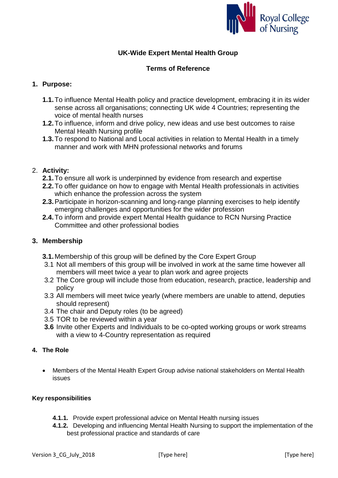

# **UK-Wide Expert Mental Health Group**

## **Terms of Reference**

## **1. Purpose:**

- **1.1.**To influence Mental Health policy and practice development, embracing it in its wider sense across all organisations; connecting UK wide 4 Countries; representing the voice of mental health nurses
- **1.2.**To influence, inform and drive policy, new ideas and use best outcomes to raise Mental Health Nursing profile
- **1.3.**To respond to National and Local activities in relation to Mental Health in a timely manner and work with MHN professional networks and forums

### 2. **Activity:**

- **2.1.**To ensure all work is underpinned by evidence from research and expertise
- **2.2.**To offer guidance on how to engage with Mental Health professionals in activities which enhance the profession across the system
- **2.3.**Participate in horizon-scanning and long-range planning exercises to help identify emerging challenges and opportunities for the wider profession
- **2.4.**To inform and provide expert Mental Health guidance to RCN Nursing Practice Committee and other professional bodies

### **3. Membership**

- **3.1.**Membership of this group will be defined by the Core Expert Group
- 3.1 Not all members of this group will be involved in work at the same time however all members will meet twice a year to plan work and agree projects
- 3.2 The Core group will include those from education, research, practice, leadership and policy
- 3.3 All members will meet twice yearly (where members are unable to attend, deputies should represent)
- 3.4 The chair and Deputy roles (to be agreed)
- 3.5 TOR to be reviewed within a year
- **3.6** Invite other Experts and Individuals to be co-opted working groups or work streams with a view to 4-Country representation as required

## **4. The Role**

 Members of the Mental Health Expert Group advise national stakeholders on Mental Health issues

#### **Key responsibilities**

- **4.1.1.** Provide expert professional advice on Mental Health nursing issues
- **4.1.2.** Developing and influencing Mental Health Nursing to support the implementation of the best professional practice and standards of care